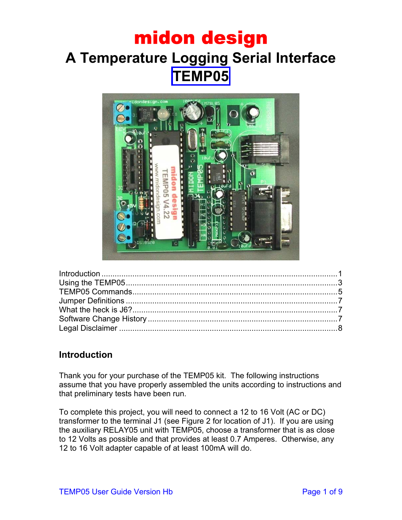### midon design **A Temperature Logging Serial Interface TEMP05**



#### <span id="page-0-0"></span>**Introduction**

Thank you for your purchase of the TEMP05 kit. The following instructions assume that you have properly assembled the units according to instructions and that preliminary tests have been run.

To complete this project, you will need to connect a 12 to 16 Volt (AC or DC) transformer to the terminal J1 (see Figure 2 for location of J1). If you are using the auxiliary RELAY05 unit with TEMP05, choose a transformer that is as close to 12 Volts as possible and that provides at least 0.7 Amperes. Otherwise, any 12 to 16 Volt adapter capable of at least 100mA will do.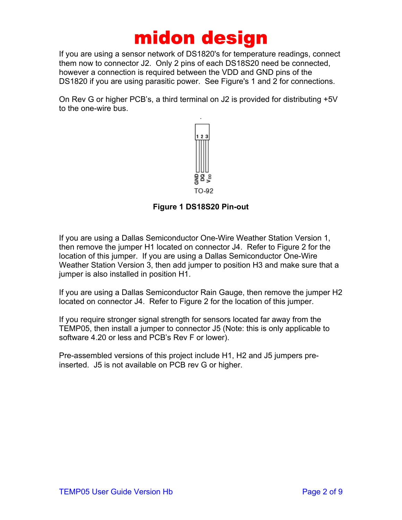If you are using a sensor network of DS1820's for temperature readings, connect them now to connector J2. Only 2 pins of each DS18S20 need be connected, however a connection is required between the VDD and GND pins of the DS1820 if you are using parasitic power. See Figure's 1 and 2 for connections.

On Rev G or higher PCB's, a third terminal on J2 is provided for distributing +5V to the one-wire bus.



#### **Figure 1 DS18S20 Pin-out**

If you are using a Dallas Semiconductor One-Wire Weather Station Version 1, then remove the jumper H1 located on connector J4. Refer to Figure 2 for the location of this jumper. If you are using a Dallas Semiconductor One-Wire Weather Station Version 3, then add jumper to position H3 and make sure that a jumper is also installed in position H1.

If you are using a Dallas Semiconductor Rain Gauge, then remove the jumper H2 located on connector J4. Refer to Figure 2 for the location of this jumper.

If you require stronger signal strength for sensors located far away from the TEMP05, then install a jumper to connector J5 (Note: this is only applicable to software 4.20 or less and PCB's Rev F or lower).

Pre-assembled versions of this project include H1, H2 and J5 jumpers preinserted. J5 is not available on PCB rev G or higher.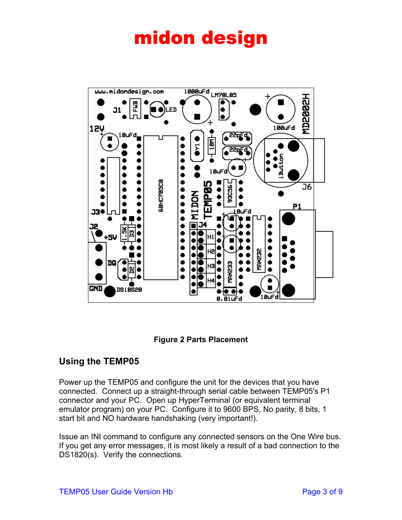



#### <span id="page-2-0"></span>**Using the TEMP05**

Power up the TEMP05 and configure the unit for the devices that you have connected. Connect up a straight-through serial cable between TEMP05's P1 connector and your PC. Open up HyperTerminal (or equivalent terminal emulator program) on your PC. Configure it to 9600 BPS, No parity, 8 bits, 1 start bit and NO hardware handshaking (very important!).

Issue an INI command to configure any connected sensors on the One Wire bus. If you get any error messages, it is most likely a result of a bad connection to the DS1820(s). Verify the connections.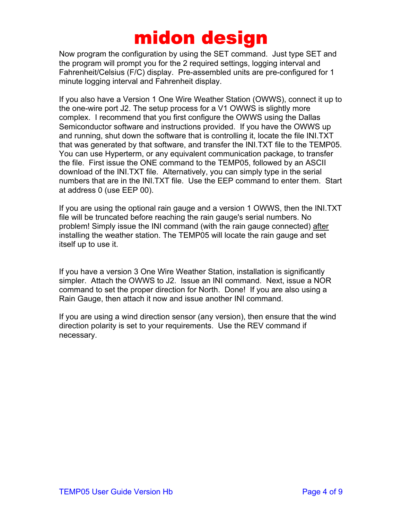Now program the configuration by using the SET command. Just type SET and the program will prompt you for the 2 required settings, logging interval and Fahrenheit/Celsius (F/C) display. Pre-assembled units are pre-configured for 1 minute logging interval and Fahrenheit display.

If you also have a Version 1 One Wire Weather Station (OWWS), connect it up to the one-wire port J2. The setup process for a V1 OWWS is slightly more complex. I recommend that you first configure the OWWS using the Dallas Semiconductor software and instructions provided. If you have the OWWS up and running, shut down the software that is controlling it, locate the file INI.TXT that was generated by that software, and transfer the INI.TXT file to the TEMP05. You can use Hyperterm, or any equivalent communication package, to transfer the file. First issue the ONE command to the TEMP05, followed by an ASCII download of the INI.TXT file. Alternatively, you can simply type in the serial numbers that are in the INI.TXT file. Use the EEP command to enter them. Start at address 0 (use EEP 00).

If you are using the optional rain gauge and a version 1 OWWS, then the INI.TXT file will be truncated before reaching the rain gauge's serial numbers. No problem! Simply issue the INI command (with the rain gauge connected) after installing the weather station. The TEMP05 will locate the rain gauge and set itself up to use it.

If you have a version 3 One Wire Weather Station, installation is significantly simpler. Attach the OWWS to J2. Issue an INI command. Next, issue a NOR command to set the proper direction for North. Done! If you are also using a Rain Gauge, then attach it now and issue another INI command.

If you are using a wind direction sensor (any version), then ensure that the wind direction polarity is set to your requirements. Use the REV command if necessary.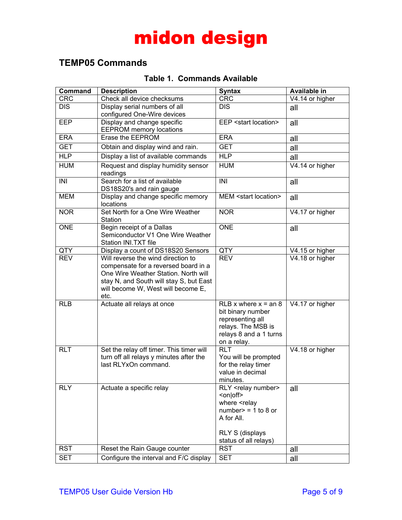#### <span id="page-4-0"></span>**TEMP05 Commands**

#### **Table 1. Commands Available**

| <b>Command</b> | <b>Description</b>                                                                                                                                                                                          | <b>Syntax</b>                                                                                                                                                                          | <b>Available in</b> |
|----------------|-------------------------------------------------------------------------------------------------------------------------------------------------------------------------------------------------------------|----------------------------------------------------------------------------------------------------------------------------------------------------------------------------------------|---------------------|
| <b>CRC</b>     | Check all device checksums                                                                                                                                                                                  | <b>CRC</b>                                                                                                                                                                             | V4.14 or higher     |
| <b>DIS</b>     | Display serial numbers of all<br>configured One-Wire devices                                                                                                                                                | <b>DIS</b>                                                                                                                                                                             | all                 |
| <b>EEP</b>     | Display and change specific<br><b>EEPROM</b> memory locations                                                                                                                                               | EEP <start location=""></start>                                                                                                                                                        | all                 |
| <b>ERA</b>     | <b>Erase the EEPROM</b>                                                                                                                                                                                     | <b>ERA</b>                                                                                                                                                                             | all                 |
| <b>GET</b>     | Obtain and display wind and rain.                                                                                                                                                                           | <b>GET</b>                                                                                                                                                                             | all                 |
| <b>HLP</b>     | Display a list of available commands                                                                                                                                                                        | <b>HLP</b>                                                                                                                                                                             | all                 |
| <b>HUM</b>     | Request and display humidity sensor<br>readings                                                                                                                                                             | <b>HUM</b>                                                                                                                                                                             | V4.14 or higher     |
| INI            | Search for a list of available<br>DS18S20's and rain gauge                                                                                                                                                  | <b>INI</b>                                                                                                                                                                             | all                 |
| <b>MEM</b>     | Display and change specific memory<br>MEM <start location=""><br/>all<br/>locations</start>                                                                                                                 |                                                                                                                                                                                        |                     |
| <b>NOR</b>     | Set North for a One Wire Weather<br><b>NOR</b><br>Station                                                                                                                                                   |                                                                                                                                                                                        | V4.17 or higher     |
| <b>ONE</b>     | Begin receipt of a Dallas<br>Semiconductor V1 One Wire Weather<br>Station INI.TXT file                                                                                                                      | <b>ONE</b>                                                                                                                                                                             | all                 |
| QTY            | Display a count of DS18S20 Sensors                                                                                                                                                                          | QTY                                                                                                                                                                                    | V4.15 or higher     |
| <b>REV</b>     | Will reverse the wind direction to<br>compensate for a reversed board in a<br>One Wire Weather Station. North will<br>stay N, and South will stay S, but East<br>will become W, West will become E,<br>etc. | <b>REV</b>                                                                                                                                                                             | V4.18 or higher     |
| <b>RLB</b>     | Actuate all relays at once                                                                                                                                                                                  | RLB x where $x = an 8$<br>bit binary number<br>representing all<br>relays. The MSB is<br>relays 8 and a 1 turns<br>on a relay.                                                         | V4.17 or higher     |
| <b>RLT</b>     | Set the relay off timer. This timer will<br>turn off all relays y minutes after the<br>last RLYxOn command.                                                                                                 | <b>RLT</b><br>You will be prompted<br>for the relay timer<br>value in decimal<br>minutes.                                                                                              | V4.18 or higher     |
| <b>RLY</b>     | Actuate a specific relay                                                                                                                                                                                    | RLY <relay number=""><br/><on off><br/>where <relay<br><math>number</math> = 1 to 8 or<br/>A for All.<br/><b>RLY S (displays</b><br/>status of all relays)</relay<br></on off></relay> | all                 |
| <b>RST</b>     | Reset the Rain Gauge counter                                                                                                                                                                                | <b>RST</b>                                                                                                                                                                             | all                 |
| <b>SET</b>     | Configure the interval and F/C display<br><b>SET</b><br>all                                                                                                                                                 |                                                                                                                                                                                        |                     |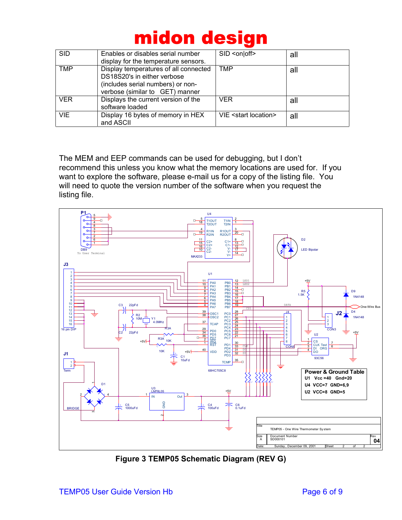| <b>SID</b> | Enables or disables serial number<br>display for the temperature sensors.                                                                    | SID <on off></on off>           | all |
|------------|----------------------------------------------------------------------------------------------------------------------------------------------|---------------------------------|-----|
| <b>TMP</b> | Display temperatures of all connected<br>DS18S20's in either verbose<br>(includes serial numbers) or non-<br>verbose (similar to GET) manner | <b>TMP</b>                      | all |
| <b>VER</b> | Displays the current version of the<br>software loaded                                                                                       | <b>VER</b>                      | all |
| <b>VIE</b> | Display 16 bytes of memory in HEX<br>and ASCII                                                                                               | VIE <start location=""></start> | all |

The MEM and EEP commands can be used for debugging, but I don't recommend this unless you know what the memory locations are used for. If you want to explore the software, please e-mail us for a copy of the listing file. You will need to quote the version number of the software when you request the listing file.



**Figure 3 TEMP05 Schematic Diagram (REV G)**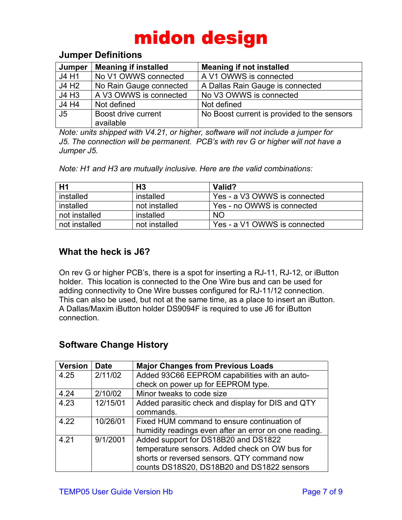#### <span id="page-6-0"></span>**Jumper Definitions**

| Jumper            | <b>Meaning if installed</b> | <b>Meaning if not installed</b>             |
|-------------------|-----------------------------|---------------------------------------------|
| J4 H1             | No V1 OWWS connected        | A V1 OWWS is connected                      |
| J4 H <sub>2</sub> | No Rain Gauge connected     | A Dallas Rain Gauge is connected            |
| J4 H3             | A V3 OWWS is connected      | No V3 OWWS is connected                     |
| J4 H4             | Not defined                 | Not defined                                 |
| J <sub>5</sub>    | Boost drive current         | No Boost current is provided to the sensors |
|                   | available                   |                                             |

*Note: units shipped with V4.21, or higher, software will not include a jumper for J5. The connection will be permanent. PCB's with rev G or higher will not have a Jumper J5.*

*Note: H1 and H3 are mutually inclusive. Here are the valid combinations:*

| H1            | H <sub>3</sub> | Valid?                       |
|---------------|----------------|------------------------------|
| installed     | installed      | Yes - a V3 OWWS is connected |
| installed     | not installed  | Yes - no OWWS is connected   |
| not installed | installed      | <b>NO</b>                    |
| not installed | not installed  | Yes - a V1 OWWS is connected |

#### <span id="page-6-1"></span>**What the heck is J6?**

On rev G or higher PCB's, there is a spot for inserting a RJ-11, RJ-12, or iButton holder. This location is connected to the One Wire bus and can be used for adding connectivity to One Wire busses configured for RJ-11/12 connection. This can also be used, but not at the same time, as a place to insert an iButton. A Dallas/Maxim iButton holder DS9094F is required to use J6 for iButton connection.

#### <span id="page-6-3"></span><span id="page-6-2"></span>**Software Change History**

| <b>Version</b> | <b>Date</b> | <b>Major Changes from Previous Loads</b>              |
|----------------|-------------|-------------------------------------------------------|
| 4.25           | 2/11/02     | Added 93C66 EEPROM capabilities with an auto-         |
|                |             | check on power up for EEPROM type.                    |
| 4.24           | 2/10/02     | Minor tweaks to code size                             |
| 4.23           | 12/15/01    | Added parasitic check and display for DIS and QTY     |
|                |             | commands.                                             |
| 4.22           | 10/26/01    | Fixed HUM command to ensure continuation of           |
|                |             | humidity readings even after an error on one reading. |
| 4.21           | 9/1/2001    | Added support for DS18B20 and DS1822                  |
|                |             | temperature sensors. Added check on OW bus for        |
|                |             | shorts or reversed sensors. QTY command now           |
|                |             | counts DS18S20, DS18B20 and DS1822 sensors            |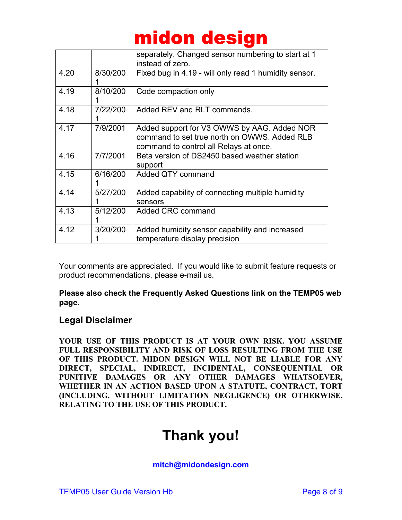|      |          | separately. Changed sensor numbering to start at 1<br>instead of zero.                                                                |
|------|----------|---------------------------------------------------------------------------------------------------------------------------------------|
| 4.20 | 8/30/200 | Fixed bug in 4.19 - will only read 1 humidity sensor.                                                                                 |
| 4.19 | 8/10/200 | Code compaction only                                                                                                                  |
| 4.18 | 7/22/200 | Added REV and RLT commands.                                                                                                           |
| 4.17 | 7/9/2001 | Added support for V3 OWWS by AAG. Added NOR<br>command to set true north on OWWS. Added RLB<br>command to control all Relays at once. |
| 4.16 | 7/7/2001 | Beta version of DS2450 based weather station<br>support                                                                               |
| 4.15 | 6/16/200 | Added QTY command                                                                                                                     |
| 4.14 | 5/27/200 | Added capability of connecting multiple humidity<br>sensors                                                                           |
| 4.13 | 5/12/200 | Added CRC command                                                                                                                     |
| 4.12 | 3/20/200 | Added humidity sensor capability and increased<br>temperature display precision                                                       |

Your comments are appreciated. If you would like to submit feature requests or product recommendations, please e-mail us.

**Please also check the Frequently Asked Questions link on the TEMP05 web page.**

#### **Legal Disclaimer**

**YOUR USE OF THIS PRODUCT IS AT YOUR OWN RISK. YOU ASSUME FULL RESPONSIBILITY AND RISK OF LOSS RESULTING FROM THE USE OF THIS PRODUCT. MIDON DESIGN WILL NOT BE LIABLE FOR ANY DIRECT, SPECIAL, INDIRECT, INCIDENTAL, CONSEQUENTIAL OR PUNITIVE DAMAGES OR ANY OTHER DAMAGES WHATSOEVER, WHETHER IN AN ACTION BASED UPON A STATUTE, CONTRACT, TORT (INCLUDING, WITHOUT LIMITATION NEGLIGENCE) OR OTHERWISE, RELATING TO THE USE OF THIS PRODUCT.**

### **Thank you!**

**mitch@midondesign.com**